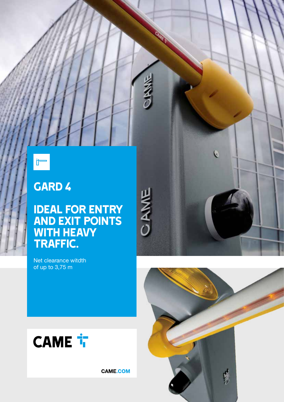

## GARD 4

## Ideal for entry and exit points WITH HEAVY traffic.

Net clearance witdth of up to 3,75 m



**CAME.COM** 

**CAME** 



 $\bullet$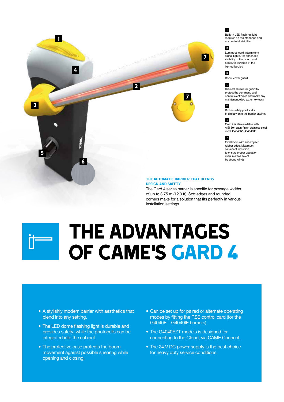

The Gard 4 series barrier is specific for passage widths of up to 3.75 m (12.3 ft). Soft edges and rounded corners make for a solution that fits perfectly in various installation settings.

# The advantages of CAME'S GARD 4

- A stylishly modern barrier with aesthetics that blend into any setting.
- The LED dome flashing light is durable and provides safety, while the photocells can be integrated into the cabinet.
- The protective case protects the boom movement against possible shearing while opening and closing.
- Can be set up for paired or alternate operating modes by fitting the RSE control card (for the G4040E – G4040IE barriers).
- The G4040EZT models is designed for connecting to the Cloud, via CAME Connect.
- The 24 V DC power supply is the best choice for heavy duty service conditions.

#### 1

Built-in LED flashing light requires no maintenance and ensure total visibility

#### 2

Luminous cord intermittent signal lights, for enhanced visibility of the boom and absolute duration of the lighted bodies



Boom cover guard

#### 4

Die-cast aluminum guard to protect the command and control electronics and make any maintenance job extremely easy

#### 5

6

Built-in safety photocells fit directly onto the barrier cabinet

Gard 4 is also available with

#### AISI 304 satin-finish stainless steel, mod. G4040IZ - G4040IE

7 Oval boom with anti-impact rubber edge. Maximum sail-effect reduction, to ensure proper operation even in areas swept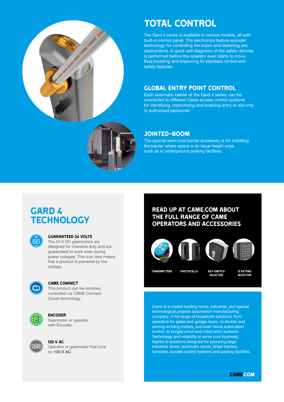

## TOTAL CONTROL

The Gard 4 series is available in various models, all with built-in control panel. The electronics feature encoder technology for controlling the boom and detecting any obstructions. A quick self-diagnosis of the safety devices is performed before the operator even starts to move, thus boosting and improving its standard control and safety features.

#### GLOBAL ENTRY POINT CONTROL

Each automatic barrier of the Gard 4 series, can be connected to different Came access control systems for identifying, memorizing and enabling entry or exit only to authorized personnel.

#### JOINTED-BOOM

The special semi-oval barrier accessory is for installing the barrier where space is an issue height-wise, such as in underground parking facilities.

## GARD 4 **TECHNOLOGY**



#### GUARANTEED 24 VOLTS

The 24 V DC gearmotors are designed for intensive duty and are guaranteed to work even during power outages. This icon also means that a product is powered by low voltage.



#### came connect

This product can be remotely controlled via CAME Connect Cloud-technology.



#### **ENCODER**

Gearmotor or operator with Encoder.



120 V AC Operator or gearmotor that runs on 120 V AC.

### READ UP AT CAME.COM ABOUT THE FULL RANGE OF CAME OPERATORS AND ACCESSORIES



TRANSMITTERS PHOTOCELLS KEY-SWITCH 12 KEYPAD

KEY-SWITCH SELECTOR

**SELECTOR** 

Came is a market leading home, industrial, and special technological projects automation manufacturing company. A full range of household solutions: from operators for gates and garage doors, to shutter and awning winding motors, and even home automation control, to burglar proof and video entry systems. Technology and reliability to serve your business, thanks to solutions designed for powering large industrial doors, automatic doors, street barriers, turnstiles, access control systems and parking facilities.

**CAME.COM**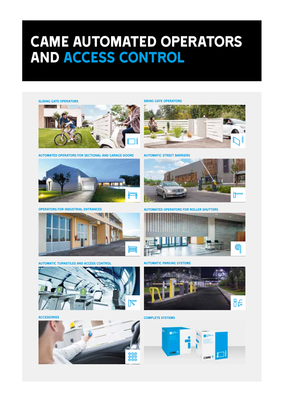# CAME AUTOMATED OPERATORS AND ACCESS CONTROL

SLIDING GATE OPERATORS



Automated operators for sectional and garage doors automatic street barriers



Operators for Industrial Entrances



Automatic turnstiles and access control



**ACCESSORIES** 



SWING GATE OPERATORS





Automated operators for Roller Shutters



Automatic parking systems



Complete Systems

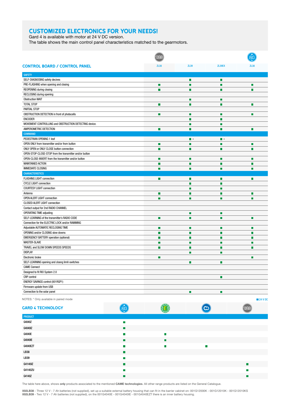### CUSTOMIZED ELECTRONICS FOR YOUR NEEDS!

Gard 4 is available with motor at 24 V DC version.

The table shows the main control panel characteristics matched to the gearmotors.

| <b>CONTROL BOARD / CONTROL PANEL</b><br><b>ZL38</b>       | ZL39                     | ZL39EX         | 71.38  |
|-----------------------------------------------------------|--------------------------|----------------|--------|
| <b>SAFETY</b>                                             |                          |                |        |
| SELF-DIAGNOSING safety decives                            | П                        | П              |        |
| PRE-FLASHING when opening and closing<br>П                | П                        | П              | п      |
| REOPENING during closing<br>П                             | $\overline{\phantom{a}}$ | ш              | П      |
| RECLOSING during opening                                  |                          |                |        |
| <b>Obstruction WAIT</b>                                   | П                        | П              |        |
| <b>TOTAL STOP</b><br>П                                    | П                        | П              | п      |
| PARTIAL STOP                                              |                          |                |        |
| OBSTRUCTION DETECTION in front of photocells<br>П         | П                        | П              | П      |
| <b>ENCODER</b>                                            | П                        | П              |        |
| MOVEMENT CONTROLLING and OBSTRUCTION DETECTING device.    | П                        | п              |        |
| AMPEROMETRIC DETECTION<br>г                               | П                        | T.             | П      |
| <b>COMMAND</b>                                            |                          |                |        |
| PEDESTRIAN OPENING 1 leaf                                 | $\blacksquare$           | $\blacksquare$ |        |
| OPEN ONLY from transmitter and/or from button<br>П        | П                        | П              | П      |
| ONLY OPEN or ONLY CLOSE button connection<br>П            | П                        | П              | п      |
| OPEN-STOP-CLOSE-STOP from the transmitter and/or button   |                          |                |        |
| OPEN-CLOSE-INVERT from the transmitter and/or button<br>П | П                        | П              | П      |
| <b>MAINTAINED ACTION</b><br>П                             | П                        | П              | п      |
| <b>IMMEDIATE CLOSING</b><br>г                             | П                        | П              | m.     |
| <b>CHARACTERISTICS</b>                                    |                          |                |        |
| FLASHING LIGHT connection<br>П                            | П                        | П              | п      |
| <b>CYCLE LIGHT connection</b>                             | П                        | П              |        |
| <b>COURTESY LIGHT connection</b>                          | П                        | П              |        |
| Antenna<br>П                                              | П                        | П              | П      |
| <b>OPEN ALERT LIGHT connection</b><br>г                   | П                        | П              | г      |
| <b>CLOSED ALERT LIGHT connection</b>                      |                          |                |        |
| Contact output for 2nd RADIO CHANNEL                      |                          |                |        |
| <b>OPERATING TIME adjusting</b>                           | П                        | П              |        |
| SELF-LEARNING of the transmitter's RADIO CODE<br>П        | П                        | П              | П      |
| Connection for the ELECTRIC LOCK and/or RAMMING           |                          |                |        |
| Adjustable AUTOMATIC RECLOSING TIME<br>П                  | П                        | П              | П      |
| OPENING and/or CLOSING slow downs<br>п                    | П                        | П              | m.     |
| <b>EMERGENCY BATTERY operation (optional)</b><br>г        | П                        | п              | Н      |
| <b>MASTER-SLAVE</b><br>г                                  | П                        | п              | l.     |
| TRAVEL and SLOW DOWN SPEEDS SPEEDS<br>П                   | П                        | П              | П      |
| <b>DISPLAY</b>                                            | П                        | П              |        |
| Electronic brake<br>П                                     |                          |                | П      |
| SELF-LEARNING opening and closng limit-switches           | П                        | П              |        |
| <b>CAME Connect</b>                                       |                          |                |        |
| Designed to fit RIO System 2.0                            |                          |                |        |
| CRP control                                               |                          | П              |        |
| ENERGY SAVINGS control (001RGP1)                          |                          |                |        |
| Firmware update from USB                                  |                          |                |        |
| Connection to the solar panel                             | $\Box$                   | П              |        |
| NOTES: * Only available in paired mode                    |                          |                | 24 VDC |

NOTES: \* Only available in paired mode

| <b>GARD 4 TECHNOLOGY</b> | Ė                |   | တ         |                |
|--------------------------|------------------|---|-----------|----------------|
| PRODUCT                  |                  |   |           |                |
| G4040Z                   | П                |   |           |                |
| G4040IZ                  |                  |   |           |                |
| G4040E                   |                  | П |           |                |
| <b>G4040IE</b>           |                  | П |           |                |
| <b>G4040EZT</b>          | <b>Tale</b>      | П | <b>TT</b> |                |
| LB38                     | П                |   |           |                |
| LB39                     | $\Box$           |   |           |                |
| G4140IZ                  | <b>The State</b> |   |           | $\blacksquare$ |
| G4140ZU                  | П                |   |           | П              |
| G4140Z                   |                  |   |           | г              |

The table here above, shows only products associated to the mentioned CAME technologies. All other range products are listed on the General Catalogue.

**002LB38** - Three 12 V - 7 Ah batteries (not supplied), set up a suitable external battery housing that can fit in the barrier cabinet on: 001G12000K - 001G12010K - 001G12010KS<br>**002LB39** - Two 12 V - 7 Ah batteries (not su